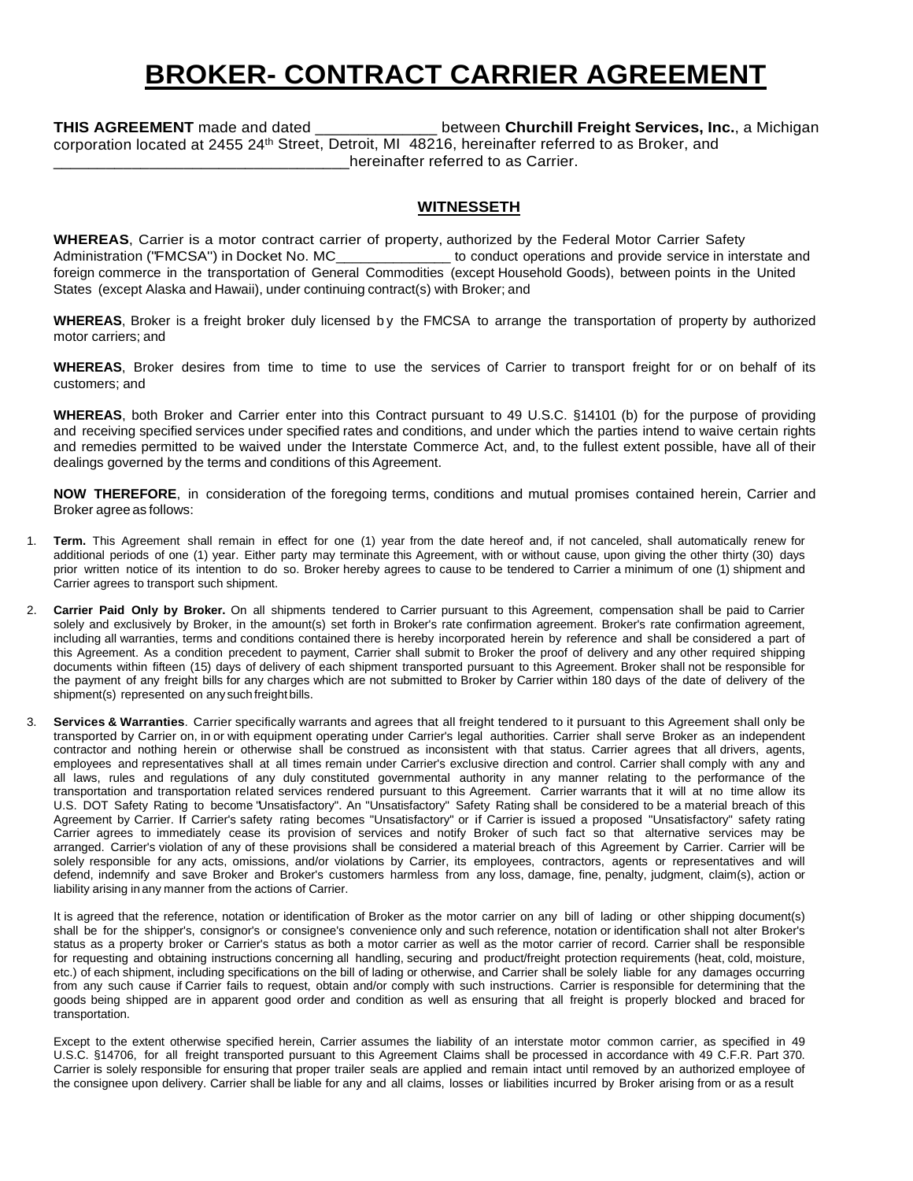## **BROKER- CONTRACT CARRIER AGREEMENT**

**THIS AGREEMENT** made and dated \_\_\_\_\_\_\_\_\_\_\_\_\_\_ between **Churchill Freight Services, Inc.**, a Michigan corporation located at 2455 24th Street, Detroit, MI 48216, hereinafter referred to as Broker, and hereinafter referred to as Carrier.

## **WITNESSETH**

**WHEREAS**, Carrier is a motor contract carrier of property, authorized by the Federal Motor Carrier Safety Administration ("FMCSA") in Docket No. MC\_\_\_\_\_\_\_\_\_\_\_\_\_\_\_\_\_ to conduct operations and provide service in interstate and foreign commerce in the transportation of General Commodities (except Household Goods), between points in the United States (except Alaska and Hawaii), under continuing contract(s) with Broker; and

WHEREAS, Broker is a freight broker duly licensed by the FMCSA to arrange the transportation of property by authorized motor carriers; and

**WHEREAS**, Broker desires from time to time to use the services of Carrier to transport freight for or on behalf of its customers; and

**WHEREAS**, both Broker and Carrier enter into this Contract pursuant to 49 U.S.C. §14101 (b) for the purpose of providing and receiving specified services under specified rates and conditions, and under which the parties intend to waive certain rights and remedies permitted to be waived under the Interstate Commerce Act, and, to the fullest extent possible, have all of their dealings governed by the terms and conditions of this Agreement.

**NOW THEREFORE**, in consideration of the foregoing terms, conditions and mutual promises contained herein, Carrier and Broker agree as follows:

- 1. **Term.** This Agreement shall remain in effect for one (1) year from the date hereof and, if not canceled, shall automatically renew for additional periods of one (1) year. Either party may terminate this Agreement, with or without cause, upon giving the other thirty (30) days prior written notice of its intention to do so. Broker hereby agrees to cause to be tendered to Carrier a minimum of one (1) shipment and Carrier agrees to transport such shipment.
- 2. **Carrier Paid Only by Broker.** On all shipments tendered to Carrier pursuant to this Agreement, compensation shall be paid to Carrier solely and exclusively by Broker, in the amount(s) set forth in Broker's rate confirmation agreement. Broker's rate confirmation agreement, including all warranties, terms and conditions contained there is hereby incorporated herein by reference and shall be considered a part of this Agreement. As a condition precedent to payment, Carrier shall submit to Broker the proof of delivery and any other required shipping documents within fifteen (15) days of delivery of each shipment transported pursuant to this Agreement. Broker shall not be responsible for the payment of any freight bills for any charges which are not submitted to Broker by Carrier within 180 days of the date of delivery of the shipment(s) represented on any such freight bills.
- 3. **Services & Warranties**. Carrier specifically warrants and agrees that all freight tendered to it pursuant to this Agreement shall only be transported by Carrier on, in or with equipment operating under Carrier's legal authorities. Carrier shall serve Broker as an independent contractor and nothing herein or otherwise shall be construed as inconsistent with that status. Carrier agrees that all drivers, agents, employees and representatives shall at all times remain under Carrier's exclusive direction and control. Carrier shall comply with any and all laws, rules and regulations of any duly constituted governmental authority in any manner relating to the performance of the transportation and transportation related services rendered pursuant to this Agreement. Carrier warrants that it will at no time allow its U.S. DOT Safety Rating to become "Unsatisfactory". An "Unsatisfactory" Safety Rating shall be considered to be a material breach of this Agreement by Carrier. If Carrier's safety rating becomes "Unsatisfactory" or if Carrier is issued a proposed "Unsatisfactory" safety rating Carrier agrees to immediately cease its provision of services and notify Broker of such fact so that alternative services may be arranged. Carrier's violation of any of these provisions shall be considered a material breach of this Agreement by Carrier. Carrier will be solely responsible for any acts, omissions, and/or violations by Carrier, its employees, contractors, agents or representatives and will defend, indemnify and save Broker and Broker's customers harmless from any loss, damage, fine, penalty, judgment, claim(s), action or liability arising in any manner from the actions of Carrier.

It is agreed that the reference, notation or identification of Broker as the motor carrier on any bill of lading or other shipping document(s) shall be for the shipper's, consignor's or consignee's convenience only and such reference, notation or identification shall not alter Broker's status as a property broker or Carrier's status as both a motor carrier as well as the motor carrier of record. Carrier shall be responsible for requesting and obtaining instructions concerning all handling, securing and product/freight protection requirements (heat, cold, moisture, etc.) of each shipment, including specifications on the bill of lading or otherwise, and Carrier shall be solely liable for any damages occurring from any such cause if Carrier fails to request, obtain and/or comply with such instructions. Carrier is responsible for determining that the goods being shipped are in apparent good order and condition as well as ensuring that all freight is properly blocked and braced for transportation.

Except to the extent otherwise specified herein, Carrier assumes the liability of an interstate motor common carrier, as specified in 49 U.S.C. §14706, for all freight transported pursuant to this Agreement Claims shall be processed in accordance with 49 C.F.R. Part 370. Carrier is solely responsible for ensuring that proper trailer seals are applied and remain intact until removed by an authorized employee of the consignee upon delivery. Carrier shall be liable for any and all claims, losses or liabilities incurred by Broker arising from or as a result